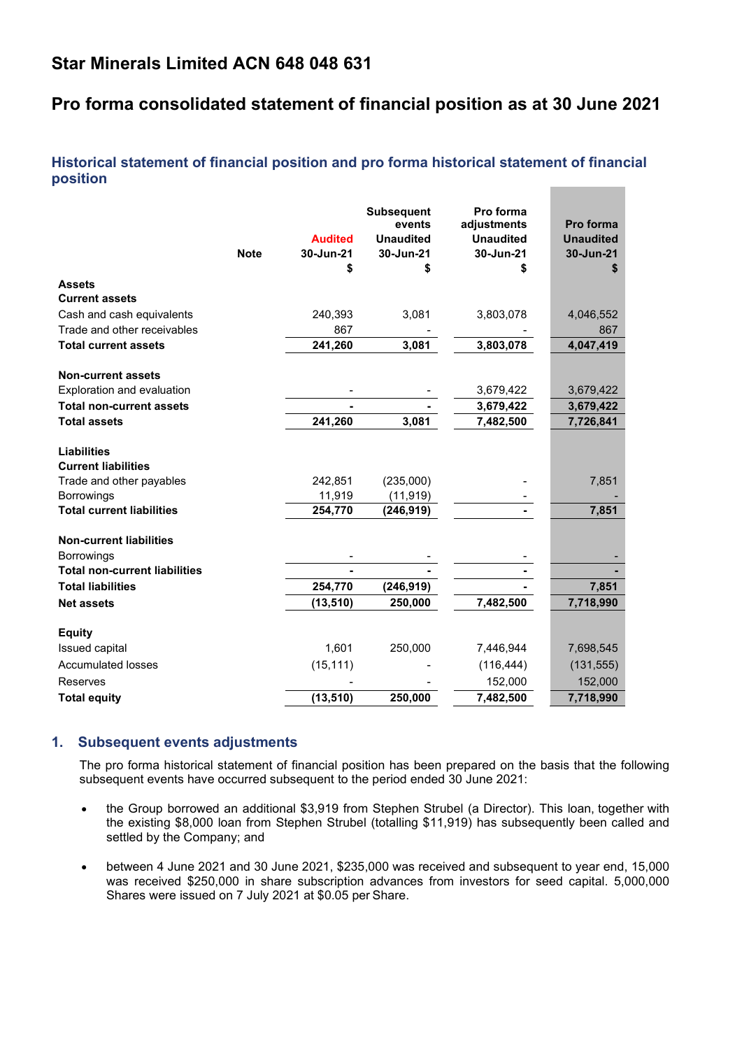# **Star Minerals Limited ACN 648 048 631**

# **Pro forma consolidated statement of financial position as at 30 June 2021**

# **Historical statement of financial position and pro forma historical statement of financial position**

|                                                  | <b>Note</b> | <b>Audited</b><br>30-Jun-21<br>\$ | <b>Subsequent</b><br>events<br><b>Unaudited</b><br>30-Jun-21<br>S | Pro forma<br>adjustments<br><b>Unaudited</b><br>30-Jun-21<br>\$ | Pro forma<br><b>Unaudited</b><br>30-Jun-21<br>S |
|--------------------------------------------------|-------------|-----------------------------------|-------------------------------------------------------------------|-----------------------------------------------------------------|-------------------------------------------------|
| <b>Assets</b>                                    |             |                                   |                                                                   |                                                                 |                                                 |
| <b>Current assets</b>                            |             |                                   |                                                                   |                                                                 |                                                 |
| Cash and cash equivalents                        |             | 240,393                           | 3,081                                                             | 3,803,078                                                       | 4,046,552                                       |
| Trade and other receivables                      |             | 867                               |                                                                   |                                                                 | 867                                             |
| <b>Total current assets</b>                      |             | 241,260                           | 3,081                                                             | 3,803,078                                                       | 4,047,419                                       |
| <b>Non-current assets</b>                        |             |                                   |                                                                   |                                                                 |                                                 |
| Exploration and evaluation                       |             |                                   |                                                                   | 3,679,422                                                       | 3,679,422                                       |
| <b>Total non-current assets</b>                  |             |                                   |                                                                   | 3,679,422                                                       | 3,679,422                                       |
| <b>Total assets</b>                              |             | 241,260                           | 3,081                                                             | 7,482,500                                                       | 7,726,841                                       |
| <b>Liabilities</b><br><b>Current liabilities</b> |             |                                   |                                                                   |                                                                 |                                                 |
| Trade and other payables                         |             | 242,851                           | (235,000)                                                         |                                                                 | 7,851                                           |
| <b>Borrowings</b>                                |             | 11,919                            | (11, 919)                                                         |                                                                 |                                                 |
| <b>Total current liabilities</b>                 |             | 254,770                           | (246, 919)                                                        |                                                                 | 7,851                                           |
| <b>Non-current liabilities</b>                   |             |                                   |                                                                   |                                                                 |                                                 |
| <b>Borrowings</b>                                |             |                                   |                                                                   |                                                                 |                                                 |
| <b>Total non-current liabilities</b>             |             |                                   |                                                                   |                                                                 |                                                 |
| <b>Total liabilities</b>                         |             | 254,770                           | (246, 919)                                                        |                                                                 | 7,851                                           |
| <b>Net assets</b>                                |             | (13, 510)                         | 250,000                                                           | 7,482,500                                                       | 7,718,990                                       |
| <b>Equity</b>                                    |             |                                   |                                                                   |                                                                 |                                                 |
| Issued capital                                   |             | 1,601                             | 250,000                                                           | 7,446,944                                                       | 7,698,545                                       |
| <b>Accumulated losses</b>                        |             | (15, 111)                         |                                                                   | (116, 444)                                                      | (131, 555)                                      |
| Reserves                                         |             |                                   |                                                                   | 152,000                                                         | 152,000                                         |
| <b>Total equity</b>                              |             | (13, 510)                         | 250,000                                                           | 7,482,500                                                       | 7,718,990                                       |

# **1. Subsequent events adjustments**

The pro forma historical statement of financial position has been prepared on the basis that the following subsequent events have occurred subsequent to the period ended 30 June 2021:

- the Group borrowed an additional \$3,919 from Stephen Strubel (a Director). This loan, together with the existing \$8,000 loan from Stephen Strubel (totalling \$11,919) has subsequently been called and settled by the Company; and
- between 4 June 2021 and 30 June 2021, \$235,000 was received and subsequent to year end, 15,000 was received \$250,000 in share subscription advances from investors for seed capital. 5,000,000 Shares were issued on 7 July 2021 at \$0.05 per Share.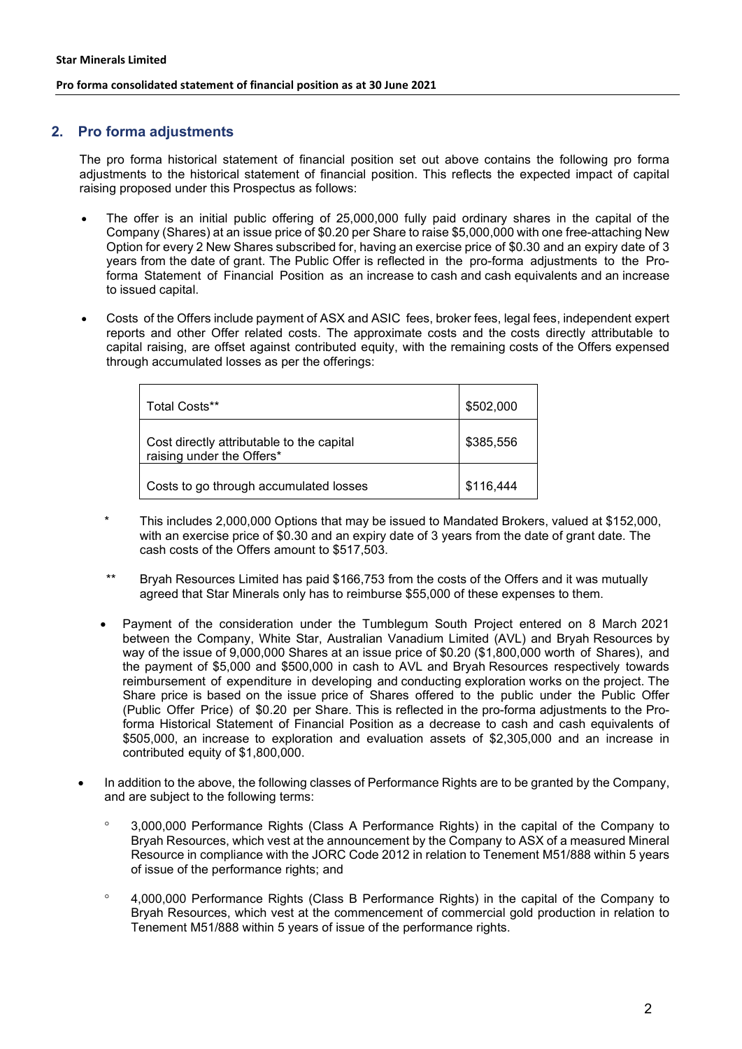# **2. Pro forma adjustments**

The pro forma historical statement of financial position set out above contains the following pro forma adjustments to the historical statement of financial position. This reflects the expected impact of capital raising proposed under this Prospectus as follows:

- The offer is an initial public offering of 25,000,000 fully paid ordinary shares in the capital of the Company (Shares) at an issue price of \$0.20 per Share to raise \$5,000,000 with one free-attaching New Option for every 2 New Shares subscribed for, having an exercise price of \$0.30 and an expiry date of 3 years from the date of grant. The Public Offer is reflected in the pro-forma adjustments to the Proforma Statement of Financial Position as an increase to cash and cash equivalents and an increase to issued capital.
- Costs of the Offers include payment of ASX and ASIC fees, broker fees, legal fees, independent expert reports and other Offer related costs. The approximate costs and the costs directly attributable to capital raising, are offset against contributed equity, with the remaining costs of the Offers expensed through accumulated losses as per the offerings:

| Total Costs**                                                          | \$502,000 |
|------------------------------------------------------------------------|-----------|
| Cost directly attributable to the capital<br>raising under the Offers* | \$385,556 |
| Costs to go through accumulated losses                                 | \$116,444 |

- \* This includes 2,000,000 Options that may be issued to Mandated Brokers, valued at \$152,000, with an exercise price of \$0.30 and an expiry date of 3 years from the date of grant date. The cash costs of the Offers amount to \$517,503.
- Bryah Resources Limited has paid \$166,753 from the costs of the Offers and it was mutually agreed that Star Minerals only has to reimburse \$55,000 of these expenses to them.
- Payment of the consideration under the Tumblegum South Project entered on 8 March 2021 between the Company, White Star, Australian Vanadium Limited (AVL) and Bryah Resources by way of the issue of 9,000,000 Shares at an issue price of \$0.20 (\$1,800,000 worth of Shares), and the payment of \$5,000 and \$500,000 in cash to AVL and Bryah Resources respectively towards reimbursement of expenditure in developing and conducting exploration works on the project. The Share price is based on the issue price of Shares offered to the public under the Public Offer (Public Offer Price) of \$0.20 per Share. This is reflected in the pro-forma adjustments to the Proforma Historical Statement of Financial Position as a decrease to cash and cash equivalents of \$505,000, an increase to exploration and evaluation assets of \$2,305,000 and an increase in contributed equity of \$1,800,000.
- In addition to the above, the following classes of Performance Rights are to be granted by the Company, and are subject to the following terms:
	- ° 3,000,000 Performance Rights (Class A Performance Rights) in the capital of the Company to Bryah Resources, which vest at the announcement by the Company to ASX of a measured Mineral Resource in compliance with the JORC Code 2012 in relation to Tenement M51/888 within 5 years of issue of the performance rights; and
	- ° 4,000,000 Performance Rights (Class B Performance Rights) in the capital of the Company to Bryah Resources, which vest at the commencement of commercial gold production in relation to Tenement M51/888 within 5 years of issue of the performance rights.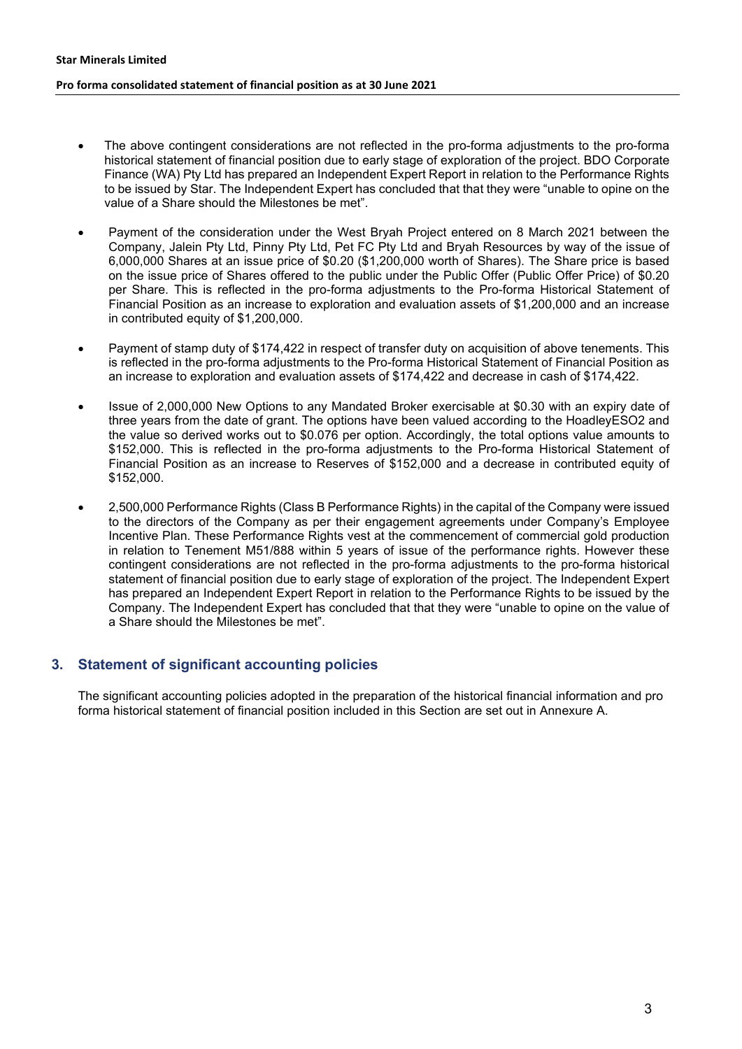- The above contingent considerations are not reflected in the pro-forma adjustments to the pro-forma historical statement of financial position due to early stage of exploration of the project. BDO Corporate Finance (WA) Pty Ltd has prepared an Independent Expert Report in relation to the Performance Rights to be issued by Star. The Independent Expert has concluded that that they were "unable to opine on the value of a Share should the Milestones be met".
- Payment of the consideration under the West Bryah Project entered on 8 March 2021 between the Company, Jalein Pty Ltd, Pinny Pty Ltd, Pet FC Pty Ltd and Bryah Resources by way of the issue of 6,000,000 Shares at an issue price of \$0.20 (\$1,200,000 worth of Shares). The Share price is based on the issue price of Shares offered to the public under the Public Offer (Public Offer Price) of \$0.20 per Share. This is reflected in the pro-forma adjustments to the Pro-forma Historical Statement of Financial Position as an increase to exploration and evaluation assets of \$1,200,000 and an increase in contributed equity of \$1,200,000.
- Payment of stamp duty of \$174,422 in respect of transfer duty on acquisition of above tenements. This is reflected in the pro-forma adjustments to the Pro-forma Historical Statement of Financial Position as an increase to exploration and evaluation assets of \$174,422 and decrease in cash of \$174,422.
- Issue of 2,000,000 New Options to any Mandated Broker exercisable at \$0.30 with an expiry date of three years from the date of grant. The options have been valued according to the HoadleyESO2 and the value so derived works out to \$0.076 per option. Accordingly, the total options value amounts to \$152,000. This is reflected in the pro-forma adjustments to the Pro-forma Historical Statement of Financial Position as an increase to Reserves of \$152,000 and a decrease in contributed equity of \$152,000.
- 2,500,000 Performance Rights (Class B Performance Rights) in the capital of the Company were issued to the directors of the Company as per their engagement agreements under Company's Employee Incentive Plan. These Performance Rights vest at the commencement of commercial gold production in relation to Tenement M51/888 within 5 years of issue of the performance rights. However these contingent considerations are not reflected in the pro-forma adjustments to the pro-forma historical statement of financial position due to early stage of exploration of the project. The Independent Expert has prepared an Independent Expert Report in relation to the Performance Rights to be issued by the Company. The Independent Expert has concluded that that they were "unable to opine on the value of a Share should the Milestones be met".

# **3. Statement of significant accounting policies**

The significant accounting policies adopted in the preparation of the historical financial information and pro forma historical statement of financial position included in this Section are set out in Annexure A.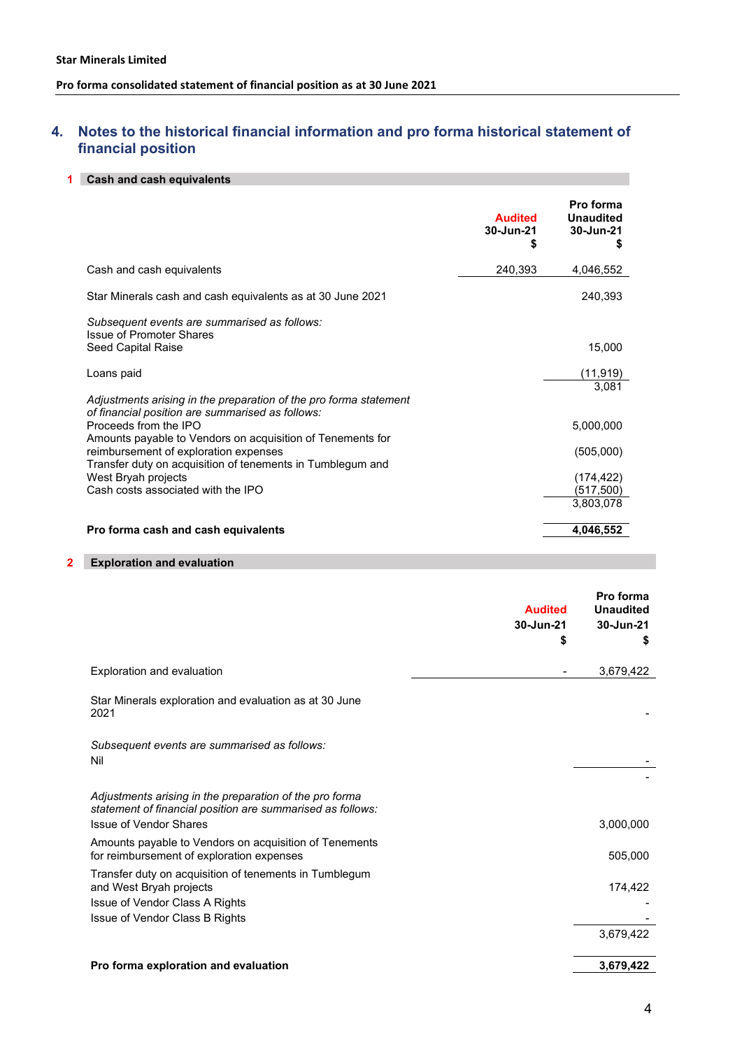# **4. Notes to the historical financial information and pro forma historical statement of financial position**

#### **1 Cash and cash equivalents**

|                                                                                                                                                                                                                                                                                                                                                                                  | <b>Audited</b><br>30-Jun-21<br>S | Pro forma<br><b>Unaudited</b><br>30-Jun-21<br>S                         |
|----------------------------------------------------------------------------------------------------------------------------------------------------------------------------------------------------------------------------------------------------------------------------------------------------------------------------------------------------------------------------------|----------------------------------|-------------------------------------------------------------------------|
| Cash and cash equivalents                                                                                                                                                                                                                                                                                                                                                        | 240,393                          | 4,046,552                                                               |
| Star Minerals cash and cash equivalents as at 30 June 2021                                                                                                                                                                                                                                                                                                                       |                                  | 240,393                                                                 |
| Subsequent events are summarised as follows:<br>Issue of Promoter Shares<br>Seed Capital Raise                                                                                                                                                                                                                                                                                   |                                  | 15,000                                                                  |
| Loans paid                                                                                                                                                                                                                                                                                                                                                                       |                                  | (11, 919)                                                               |
| Adjustments arising in the preparation of the pro forma statement<br>of financial position are summarised as follows:<br>Proceeds from the IPO<br>Amounts payable to Vendors on acquisition of Tenements for<br>reimbursement of exploration expenses<br>Transfer duty on acquisition of tenements in Tumblegum and<br>West Bryah projects<br>Cash costs associated with the IPO |                                  | 3,081<br>5,000,000<br>(505,000)<br>(174, 422)<br>(517,500)<br>3,803,078 |
| Pro forma cash and cash equivalents                                                                                                                                                                                                                                                                                                                                              |                                  | 4,046,552                                                               |

#### **2 Exploration and evaluation**

|                                                                                                                                                        | <b>Audited</b><br>30-Jun-21<br>\$ | Pro forma<br><b>Unaudited</b><br>30-Jun-21<br>S |
|--------------------------------------------------------------------------------------------------------------------------------------------------------|-----------------------------------|-------------------------------------------------|
| Exploration and evaluation                                                                                                                             |                                   | 3,679,422                                       |
| Star Minerals exploration and evaluation as at 30 June<br>2021                                                                                         |                                   |                                                 |
| Subsequent events are summarised as follows:<br>Nil                                                                                                    |                                   |                                                 |
| Adjustments arising in the preparation of the pro forma<br>statement of financial position are summarised as follows:<br><b>Issue of Vendor Shares</b> |                                   | 3,000,000                                       |
| Amounts payable to Vendors on acquisition of Tenements<br>for reimbursement of exploration expenses                                                    |                                   | 505,000                                         |
| Transfer duty on acquisition of tenements in Tumblegum<br>and West Bryah projects<br>Issue of Vendor Class A Rights<br>Issue of Vendor Class B Rights  |                                   | 174,422                                         |
|                                                                                                                                                        |                                   | 3,679,422                                       |
| Pro forma exploration and evaluation                                                                                                                   |                                   | 3,679,422                                       |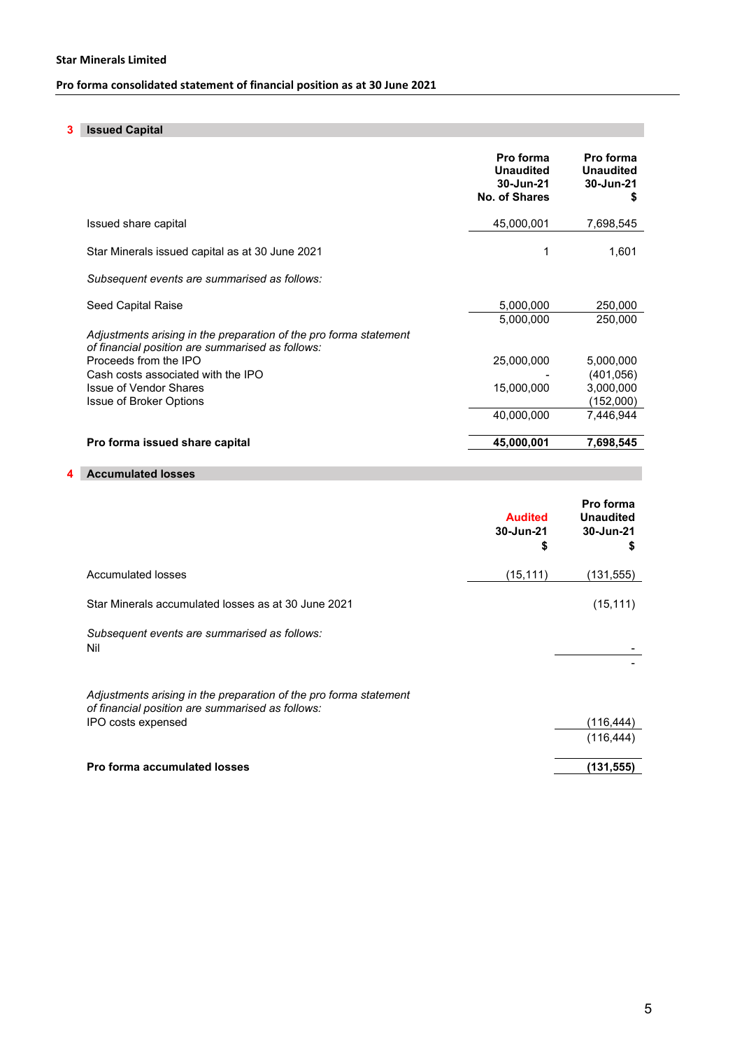# **3 Issued Capital**

|                                                                                                                                                  | Pro forma<br><b>Unaudited</b><br>30-Jun-21<br>No. of Shares | Pro forma<br><b>Unaudited</b><br>30-Jun-21<br>S |
|--------------------------------------------------------------------------------------------------------------------------------------------------|-------------------------------------------------------------|-------------------------------------------------|
| Issued share capital                                                                                                                             | 45,000,001                                                  | 7,698,545                                       |
| Star Minerals issued capital as at 30 June 2021                                                                                                  |                                                             | 1,601                                           |
| Subsequent events are summarised as follows:                                                                                                     |                                                             |                                                 |
| Seed Capital Raise<br>Adjustments arising in the preparation of the pro forma statement                                                          | 5,000,000<br>5,000,000                                      | 250,000<br>250,000                              |
| of financial position are summarised as follows:<br>Proceeds from the IPO<br>Cash costs associated with the IPO<br><b>Issue of Vendor Shares</b> | 25,000,000<br>15,000,000                                    | 5,000,000<br>(401, 056)<br>3,000,000            |
| <b>Issue of Broker Options</b>                                                                                                                   | 40,000,000                                                  | (152,000)<br>7,446,944                          |
| Pro forma issued share capital                                                                                                                   | 45,000,001                                                  | 7,698,545                                       |

# **4 Accumulated losses**

|                                                                                                                       | <b>Audited</b><br>30-Jun-21<br>\$ | Pro forma<br><b>Unaudited</b><br>30-Jun-21<br>5 |
|-----------------------------------------------------------------------------------------------------------------------|-----------------------------------|-------------------------------------------------|
| Accumulated losses                                                                                                    | (15, 111)                         | (131,555)                                       |
| Star Minerals accumulated losses as at 30 June 2021                                                                   |                                   | (15, 111)                                       |
| Subsequent events are summarised as follows:<br>Nil                                                                   |                                   |                                                 |
| Adjustments arising in the preparation of the pro forma statement<br>of financial position are summarised as follows: |                                   |                                                 |
| IPO costs expensed                                                                                                    |                                   | (116,444)<br>(116, 444)                         |
| <b>Pro forma accumulated losses</b>                                                                                   |                                   | (131,555)                                       |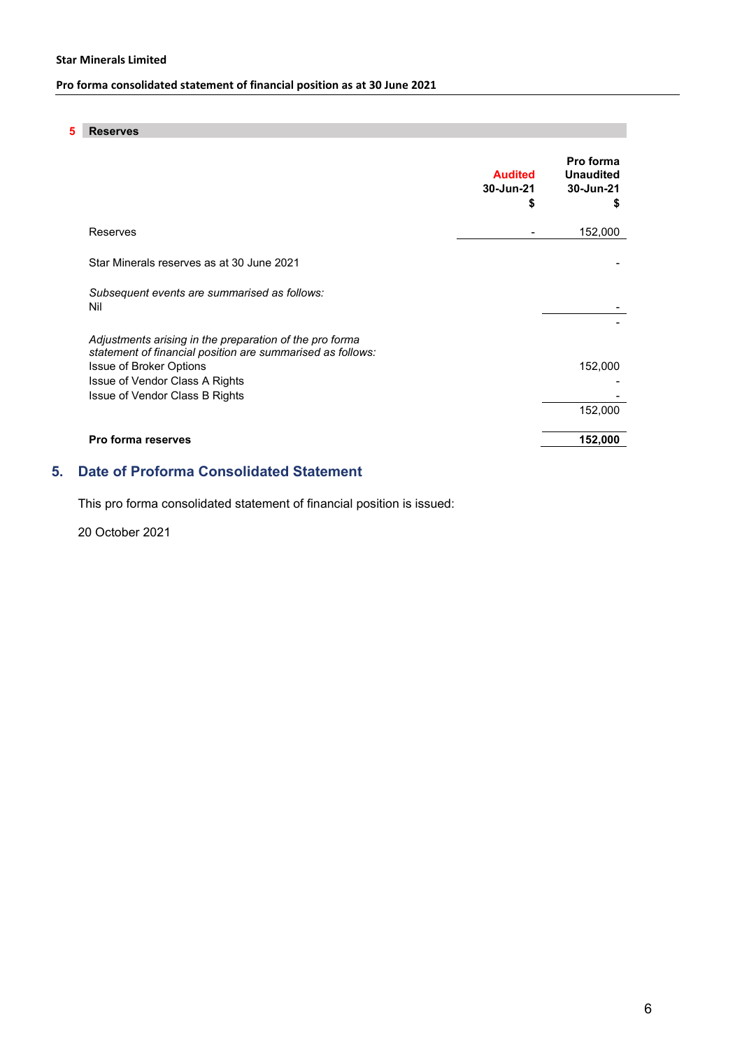#### **Star Minerals Limited**

# **Pro forma consolidated statement of financial position as at 30 June 2021**

### **5 Reserves**

|                                                                                                                       | <b>Audited</b><br>30-Jun-21 | Pro forma<br><b>Unaudited</b><br>30-Jun-21<br>5 |
|-----------------------------------------------------------------------------------------------------------------------|-----------------------------|-------------------------------------------------|
| Reserves                                                                                                              |                             | 152,000                                         |
| Star Minerals reserves as at 30 June 2021                                                                             |                             |                                                 |
| Subsequent events are summarised as follows:<br>Nil                                                                   |                             |                                                 |
| Adjustments arising in the preparation of the pro forma<br>statement of financial position are summarised as follows: |                             |                                                 |
| <b>Issue of Broker Options</b><br>Issue of Vendor Class A Rights                                                      |                             | 152,000                                         |
| Issue of Vendor Class B Rights                                                                                        |                             |                                                 |
|                                                                                                                       |                             | 152,000                                         |
| <b>Pro forma reserves</b>                                                                                             |                             | 152,000                                         |
|                                                                                                                       |                             |                                                 |

# **5. Date of Proforma Consolidated Statement**

This pro forma consolidated statement of financial position is issued:

20 October 2021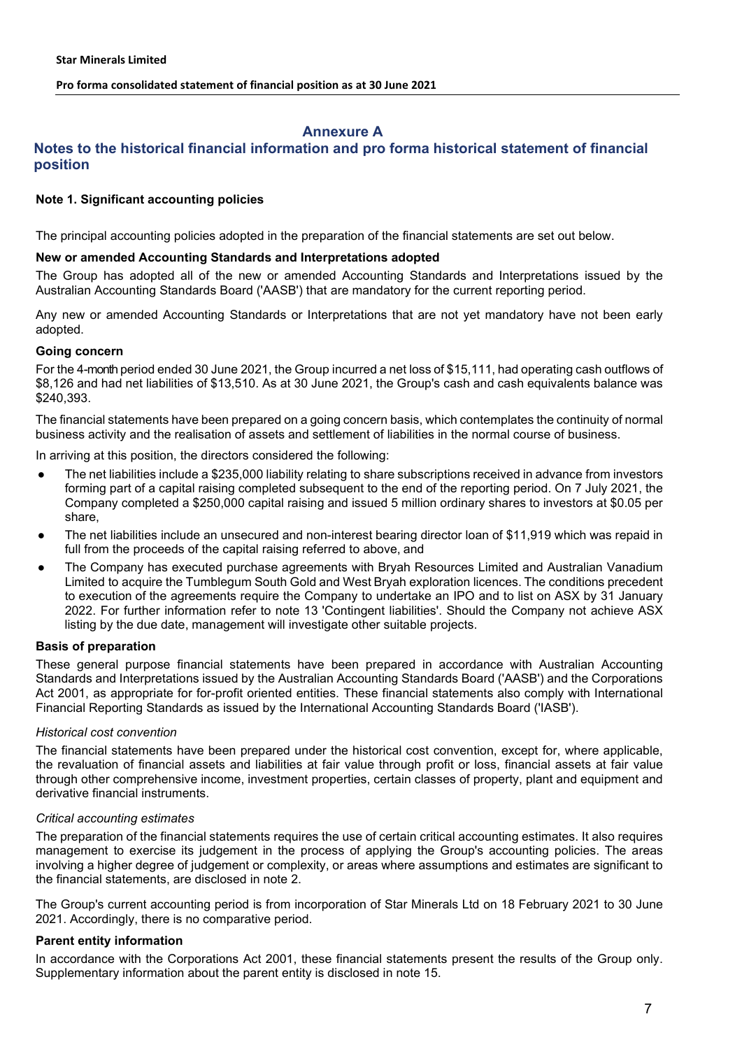# **Annexure A**

# **Notes to the historical financial information and pro forma historical statement of financial position**

### **Note 1. Significant accounting policies**

The principal accounting policies adopted in the preparation of the financial statements are set out below.

### **New or amended Accounting Standards and Interpretations adopted**

The Group has adopted all of the new or amended Accounting Standards and Interpretations issued by the Australian Accounting Standards Board ('AASB') that are mandatory for the current reporting period.

Any new or amended Accounting Standards or Interpretations that are not yet mandatory have not been early adopted.

#### **Going concern**

For the 4-month period ended 30 June 2021, the Group incurred a net loss of \$15,111, had operating cash outflows of \$8,126 and had net liabilities of \$13,510. As at 30 June 2021, the Group's cash and cash equivalents balance was \$240,393.

The financial statements have been prepared on a going concern basis, which contemplates the continuity of normal business activity and the realisation of assets and settlement of liabilities in the normal course of business.

In arriving at this position, the directors considered the following:

- The net liabilities include a \$235,000 liability relating to share subscriptions received in advance from investors forming part of a capital raising completed subsequent to the end of the reporting period. On 7 July 2021, the Company completed a \$250,000 capital raising and issued 5 million ordinary shares to investors at \$0.05 per share,
- The net liabilities include an unsecured and non-interest bearing director loan of \$11,919 which was repaid in full from the proceeds of the capital raising referred to above, and
- The Company has executed purchase agreements with Bryah Resources Limited and Australian Vanadium Limited to acquire the Tumblegum South Gold and West Bryah exploration licences. The conditions precedent to execution of the agreements require the Company to undertake an IPO and to list on ASX by 31 January 2022. For further information refer to note 13 'Contingent liabilities'. Should the Company not achieve ASX listing by the due date, management will investigate other suitable projects.

### **Basis of preparation**

These general purpose financial statements have been prepared in accordance with Australian Accounting Standards and Interpretations issued by the Australian Accounting Standards Board ('AASB') and the Corporations Act 2001, as appropriate for for-profit oriented entities. These financial statements also comply with International Financial Reporting Standards as issued by the International Accounting Standards Board ('IASB').

### *Historical cost convention*

The financial statements have been prepared under the historical cost convention, except for, where applicable, the revaluation of financial assets and liabilities at fair value through profit or loss, financial assets at fair value through other comprehensive income, investment properties, certain classes of property, plant and equipment and derivative financial instruments.

#### *Critical accounting estimates*

The preparation of the financial statements requires the use of certain critical accounting estimates. It also requires management to exercise its judgement in the process of applying the Group's accounting policies. The areas involving a higher degree of judgement or complexity, or areas where assumptions and estimates are significant to the financial statements, are disclosed in note 2.

The Group's current accounting period is from incorporation of Star Minerals Ltd on 18 February 2021 to 30 June 2021. Accordingly, there is no comparative period.

### **Parent entity information**

In accordance with the Corporations Act 2001, these financial statements present the results of the Group only. Supplementary information about the parent entity is disclosed in note 15.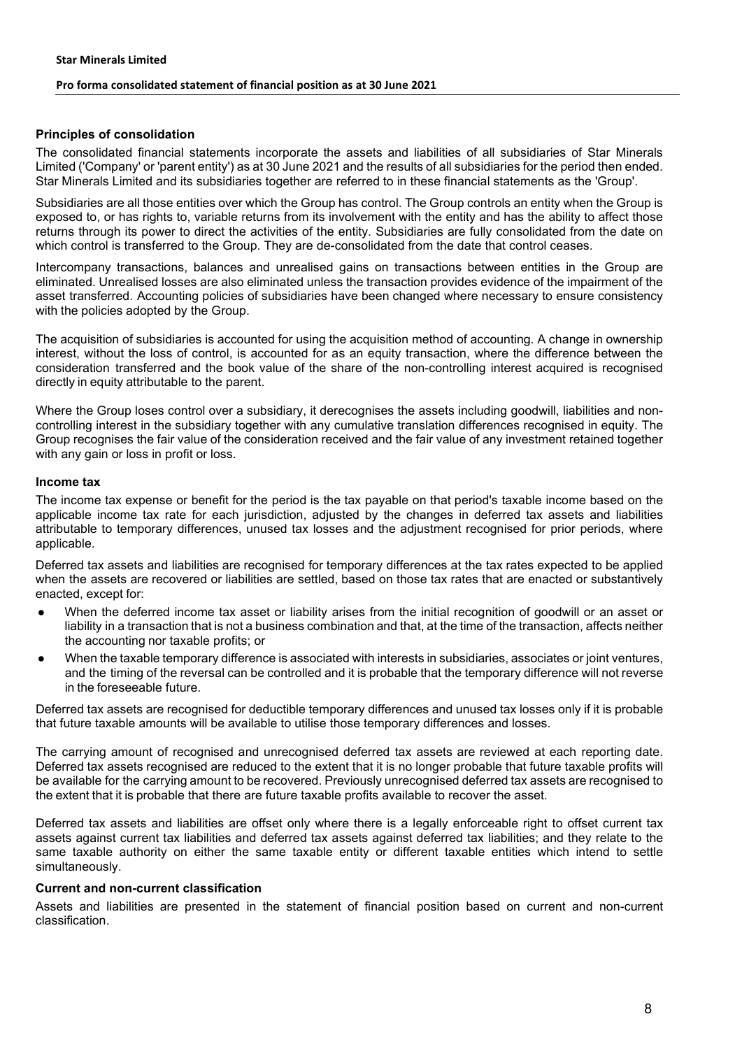#### **Principles of consolidation**

The consolidated financial statements incorporate the assets and liabilities of all subsidiaries of Star Minerals Limited ('Company' or 'parent entity') as at 30 June 2021 and the results of all subsidiaries for the period then ended. Star Minerals Limited and its subsidiaries together are referred to in these financial statements as the 'Group'.

Subsidiaries are all those entities over which the Group has control. The Group controls an entity when the Group is exposed to, or has rights to, variable returns from its involvement with the entity and has the ability to affect those returns through its power to direct the activities of the entity. Subsidiaries are fully consolidated from the date on which control is transferred to the Group. They are de-consolidated from the date that control ceases.

Intercompany transactions, balances and unrealised gains on transactions between entities in the Group are eliminated. Unrealised losses are also eliminated unless the transaction provides evidence of the impairment of the asset transferred. Accounting policies of subsidiaries have been changed where necessary to ensure consistency with the policies adopted by the Group.

The acquisition of subsidiaries is accounted for using the acquisition method of accounting. A change in ownership interest, without the loss of control, is accounted for as an equity transaction, where the difference between the consideration transferred and the book value of the share of the non-controlling interest acquired is recognised directly in equity attributable to the parent.

Where the Group loses control over a subsidiary, it derecognises the assets including goodwill, liabilities and noncontrolling interest in the subsidiary together with any cumulative translation differences recognised in equity. The Group recognises the fair value of the consideration received and the fair value of any investment retained together with any gain or loss in profit or loss.

#### **Income tax**

The income tax expense or benefit for the period is the tax payable on that period's taxable income based on the applicable income tax rate for each jurisdiction, adjusted by the changes in deferred tax assets and liabilities attributable to temporary differences, unused tax losses and the adjustment recognised for prior periods, where applicable.

Deferred tax assets and liabilities are recognised for temporary differences at the tax rates expected to be applied when the assets are recovered or liabilities are settled, based on those tax rates that are enacted or substantively enacted, except for:

- When the deferred income tax asset or liability arises from the initial recognition of goodwill or an asset or liability in a transaction that is not a business combination and that, at the time of the transaction, affects neither the accounting nor taxable profits; or
- When the taxable temporary difference is associated with interests in subsidiaries, associates or joint ventures, and the timing of the reversal can be controlled and it is probable that the temporary difference will not reverse in the foreseeable future.

Deferred tax assets are recognised for deductible temporary differences and unused tax losses only if it is probable that future taxable amounts will be available to utilise those temporary differences and losses.

The carrying amount of recognised and unrecognised deferred tax assets are reviewed at each reporting date. Deferred tax assets recognised are reduced to the extent that it is no longer probable that future taxable profits will be available for the carrying amount to be recovered. Previously unrecognised deferred tax assets are recognised to the extent that it is probable that there are future taxable profits available to recover the asset.

Deferred tax assets and liabilities are offset only where there is a legally enforceable right to offset current tax assets against current tax liabilities and deferred tax assets against deferred tax liabilities; and they relate to the same taxable authority on either the same taxable entity or different taxable entities which intend to settle simultaneously.

### **Current and non-current classification**

Assets and liabilities are presented in the statement of financial position based on current and non-current classification.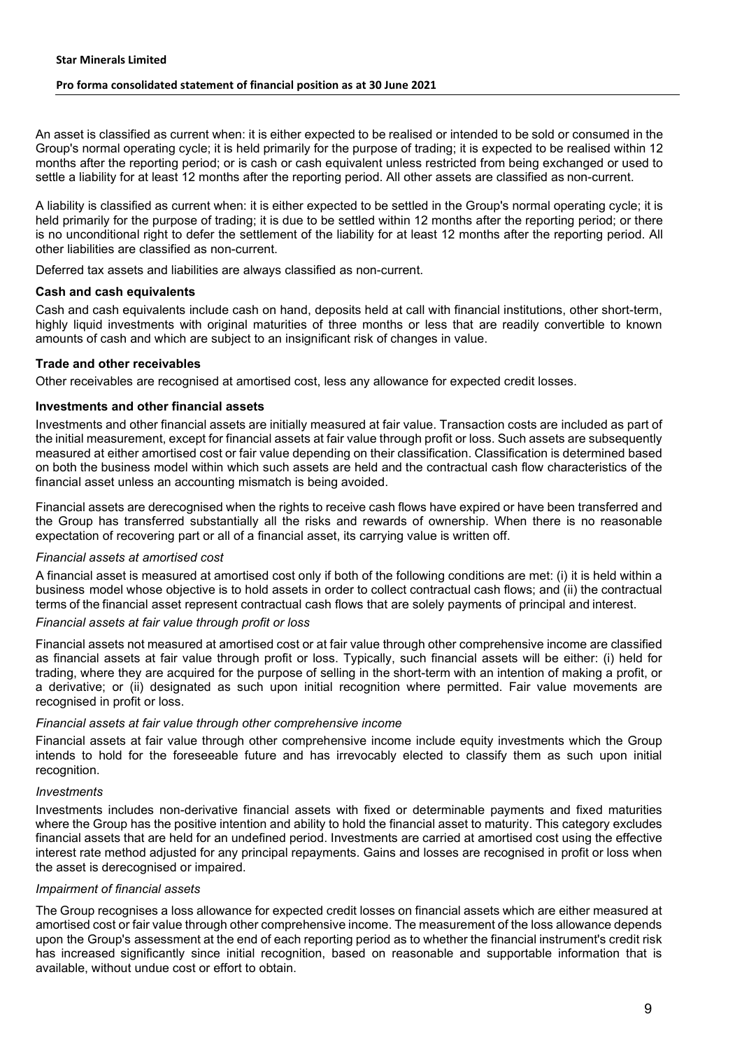An asset is classified as current when: it is either expected to be realised or intended to be sold or consumed in the Group's normal operating cycle; it is held primarily for the purpose of trading; it is expected to be realised within 12 months after the reporting period; or is cash or cash equivalent unless restricted from being exchanged or used to settle a liability for at least 12 months after the reporting period. All other assets are classified as non-current.

A liability is classified as current when: it is either expected to be settled in the Group's normal operating cycle; it is held primarily for the purpose of trading; it is due to be settled within 12 months after the reporting period; or there is no unconditional right to defer the settlement of the liability for at least 12 months after the reporting period. All other liabilities are classified as non-current.

Deferred tax assets and liabilities are always classified as non-current.

#### **Cash and cash equivalents**

Cash and cash equivalents include cash on hand, deposits held at call with financial institutions, other short-term, highly liquid investments with original maturities of three months or less that are readily convertible to known amounts of cash and which are subject to an insignificant risk of changes in value.

#### **Trade and other receivables**

Other receivables are recognised at amortised cost, less any allowance for expected credit losses.

#### **Investments and other financial assets**

Investments and other financial assets are initially measured at fair value. Transaction costs are included as part of the initial measurement, except for financial assets at fair value through profit or loss. Such assets are subsequently measured at either amortised cost or fair value depending on their classification. Classification is determined based on both the business model within which such assets are held and the contractual cash flow characteristics of the financial asset unless an accounting mismatch is being avoided.

Financial assets are derecognised when the rights to receive cash flows have expired or have been transferred and the Group has transferred substantially all the risks and rewards of ownership. When there is no reasonable expectation of recovering part or all of a financial asset, its carrying value is written off.

#### *Financial assets at amortised cost*

A financial asset is measured at amortised cost only if both of the following conditions are met: (i) it is held within a business model whose objective is to hold assets in order to collect contractual cash flows; and (ii) the contractual terms of the financial asset represent contractual cash flows that are solely payments of principal and interest.

#### *Financial assets at fair value through profit or loss*

Financial assets not measured at amortised cost or at fair value through other comprehensive income are classified as financial assets at fair value through profit or loss. Typically, such financial assets will be either: (i) held for trading, where they are acquired for the purpose of selling in the short-term with an intention of making a profit, or a derivative; or (ii) designated as such upon initial recognition where permitted. Fair value movements are recognised in profit or loss.

### *Financial assets at fair value through other comprehensive income*

Financial assets at fair value through other comprehensive income include equity investments which the Group intends to hold for the foreseeable future and has irrevocably elected to classify them as such upon initial recognition.

#### *Investments*

Investments includes non-derivative financial assets with fixed or determinable payments and fixed maturities where the Group has the positive intention and ability to hold the financial asset to maturity. This category excludes financial assets that are held for an undefined period. Investments are carried at amortised cost using the effective interest rate method adjusted for any principal repayments. Gains and losses are recognised in profit or loss when the asset is derecognised or impaired.

#### *Impairment of financial assets*

The Group recognises a loss allowance for expected credit losses on financial assets which are either measured at amortised cost or fair value through other comprehensive income. The measurement of the loss allowance depends upon the Group's assessment at the end of each reporting period as to whether the financial instrument's credit risk has increased significantly since initial recognition, based on reasonable and supportable information that is available, without undue cost or effort to obtain.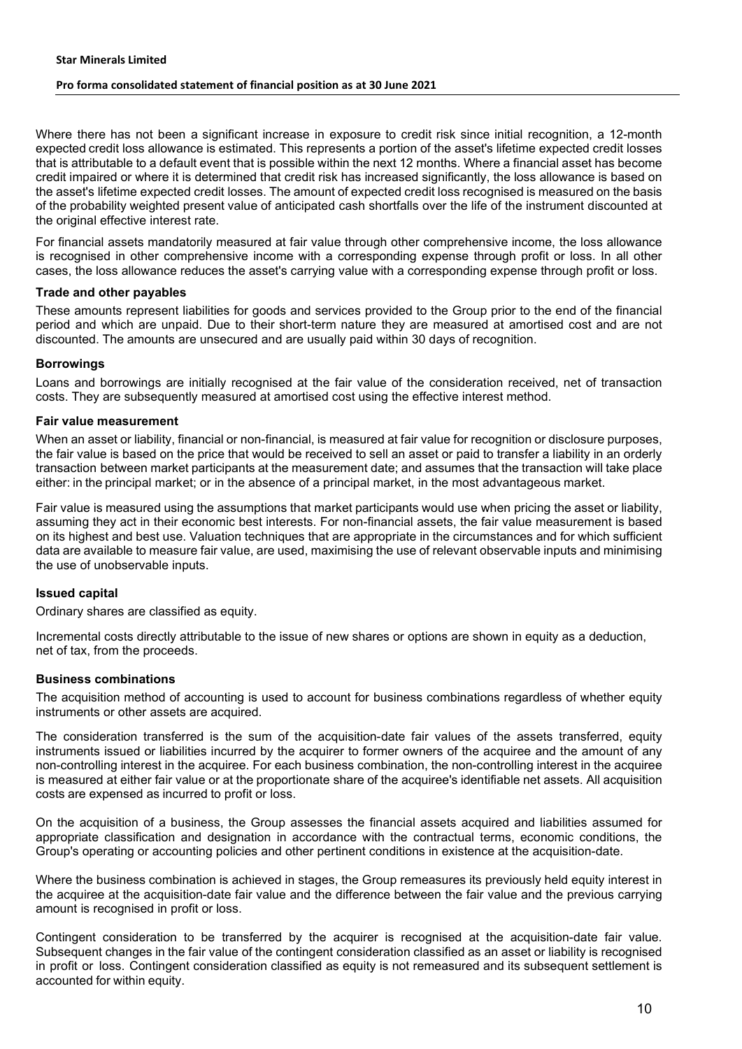#### **Star Minerals Limited**

#### **Pro forma consolidated statement of financial position as at 30 June 2021**

Where there has not been a significant increase in exposure to credit risk since initial recognition, a 12-month expected credit loss allowance is estimated. This represents a portion of the asset's lifetime expected credit losses that is attributable to a default event that is possible within the next 12 months. Where a financial asset has become credit impaired or where it is determined that credit risk has increased significantly, the loss allowance is based on the asset's lifetime expected credit losses. The amount of expected credit loss recognised is measured on the basis of the probability weighted present value of anticipated cash shortfalls over the life of the instrument discounted at the original effective interest rate.

For financial assets mandatorily measured at fair value through other comprehensive income, the loss allowance is recognised in other comprehensive income with a corresponding expense through profit or loss. In all other cases, the loss allowance reduces the asset's carrying value with a corresponding expense through profit or loss.

#### **Trade and other payables**

These amounts represent liabilities for goods and services provided to the Group prior to the end of the financial period and which are unpaid. Due to their short-term nature they are measured at amortised cost and are not discounted. The amounts are unsecured and are usually paid within 30 days of recognition.

#### **Borrowings**

Loans and borrowings are initially recognised at the fair value of the consideration received, net of transaction costs. They are subsequently measured at amortised cost using the effective interest method.

#### **Fair value measurement**

When an asset or liability, financial or non-financial, is measured at fair value for recognition or disclosure purposes, the fair value is based on the price that would be received to sell an asset or paid to transfer a liability in an orderly transaction between market participants at the measurement date; and assumes that the transaction will take place either: in the principal market; or in the absence of a principal market, in the most advantageous market.

Fair value is measured using the assumptions that market participants would use when pricing the asset or liability, assuming they act in their economic best interests. For non-financial assets, the fair value measurement is based on its highest and best use. Valuation techniques that are appropriate in the circumstances and for which sufficient data are available to measure fair value, are used, maximising the use of relevant observable inputs and minimising the use of unobservable inputs.

#### **Issued capital**

Ordinary shares are classified as equity.

Incremental costs directly attributable to the issue of new shares or options are shown in equity as a deduction, net of tax, from the proceeds.

#### **Business combinations**

The acquisition method of accounting is used to account for business combinations regardless of whether equity instruments or other assets are acquired.

The consideration transferred is the sum of the acquisition-date fair values of the assets transferred, equity instruments issued or liabilities incurred by the acquirer to former owners of the acquiree and the amount of any non-controlling interest in the acquiree. For each business combination, the non-controlling interest in the acquiree is measured at either fair value or at the proportionate share of the acquiree's identifiable net assets. All acquisition costs are expensed as incurred to profit or loss.

On the acquisition of a business, the Group assesses the financial assets acquired and liabilities assumed for appropriate classification and designation in accordance with the contractual terms, economic conditions, the Group's operating or accounting policies and other pertinent conditions in existence at the acquisition-date.

Where the business combination is achieved in stages, the Group remeasures its previously held equity interest in the acquiree at the acquisition-date fair value and the difference between the fair value and the previous carrying amount is recognised in profit or loss.

Contingent consideration to be transferred by the acquirer is recognised at the acquisition-date fair value. Subsequent changes in the fair value of the contingent consideration classified as an asset or liability is recognised in profit or loss. Contingent consideration classified as equity is not remeasured and its subsequent settlement is accounted for within equity.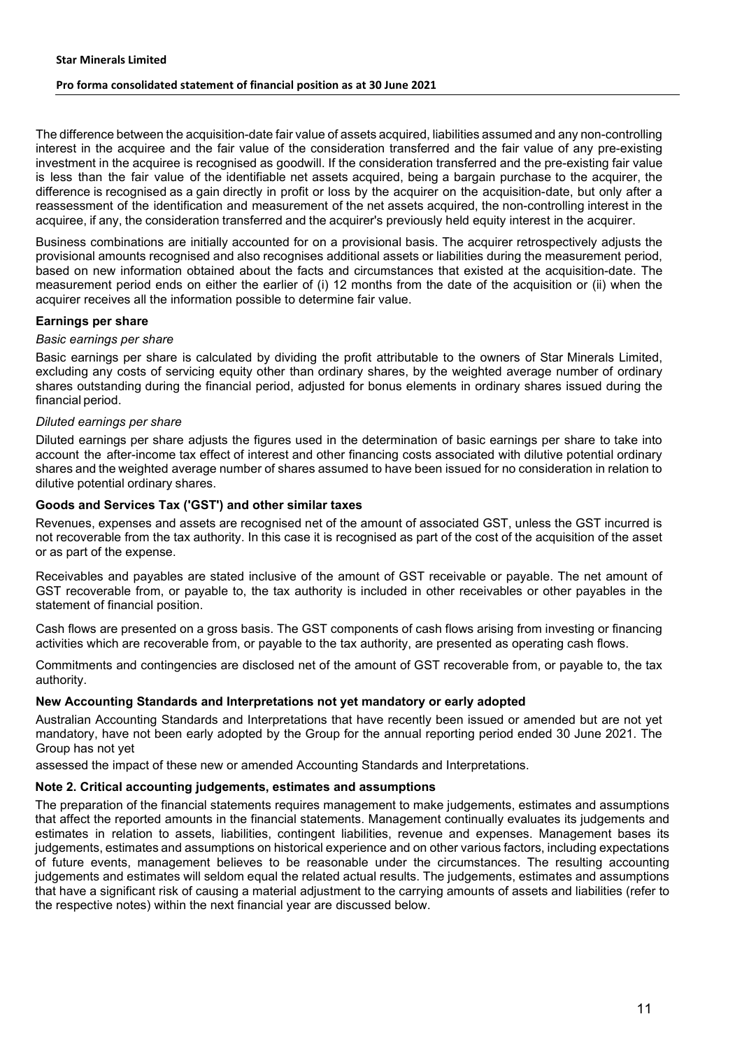The difference between the acquisition-date fair value of assets acquired, liabilities assumed and any non-controlling interest in the acquiree and the fair value of the consideration transferred and the fair value of any pre-existing investment in the acquiree is recognised as goodwill. If the consideration transferred and the pre-existing fair value is less than the fair value of the identifiable net assets acquired, being a bargain purchase to the acquirer, the difference is recognised as a gain directly in profit or loss by the acquirer on the acquisition-date, but only after a reassessment of the identification and measurement of the net assets acquired, the non-controlling interest in the acquiree, if any, the consideration transferred and the acquirer's previously held equity interest in the acquirer.

Business combinations are initially accounted for on a provisional basis. The acquirer retrospectively adjusts the provisional amounts recognised and also recognises additional assets or liabilities during the measurement period, based on new information obtained about the facts and circumstances that existed at the acquisition-date. The measurement period ends on either the earlier of (i) 12 months from the date of the acquisition or (ii) when the acquirer receives all the information possible to determine fair value.

#### **Earnings per share**

#### *Basic earnings per share*

Basic earnings per share is calculated by dividing the profit attributable to the owners of Star Minerals Limited, excluding any costs of servicing equity other than ordinary shares, by the weighted average number of ordinary shares outstanding during the financial period, adjusted for bonus elements in ordinary shares issued during the financial period.

#### *Diluted earnings per share*

Diluted earnings per share adjusts the figures used in the determination of basic earnings per share to take into account the after-income tax effect of interest and other financing costs associated with dilutive potential ordinary shares and the weighted average number of shares assumed to have been issued for no consideration in relation to dilutive potential ordinary shares.

#### **Goods and Services Tax ('GST') and other similar taxes**

Revenues, expenses and assets are recognised net of the amount of associated GST, unless the GST incurred is not recoverable from the tax authority. In this case it is recognised as part of the cost of the acquisition of the asset or as part of the expense.

Receivables and payables are stated inclusive of the amount of GST receivable or payable. The net amount of GST recoverable from, or payable to, the tax authority is included in other receivables or other payables in the statement of financial position.

Cash flows are presented on a gross basis. The GST components of cash flows arising from investing or financing activities which are recoverable from, or payable to the tax authority, are presented as operating cash flows.

Commitments and contingencies are disclosed net of the amount of GST recoverable from, or payable to, the tax authority.

#### **New Accounting Standards and Interpretations not yet mandatory or early adopted**

Australian Accounting Standards and Interpretations that have recently been issued or amended but are not yet mandatory, have not been early adopted by the Group for the annual reporting period ended 30 June 2021. The Group has not yet

assessed the impact of these new or amended Accounting Standards and Interpretations.

#### **Note 2. Critical accounting judgements, estimates and assumptions**

The preparation of the financial statements requires management to make judgements, estimates and assumptions that affect the reported amounts in the financial statements. Management continually evaluates its judgements and estimates in relation to assets, liabilities, contingent liabilities, revenue and expenses. Management bases its judgements, estimates and assumptions on historical experience and on other various factors, including expectations of future events, management believes to be reasonable under the circumstances. The resulting accounting judgements and estimates will seldom equal the related actual results. The judgements, estimates and assumptions that have a significant risk of causing a material adjustment to the carrying amounts of assets and liabilities (refer to the respective notes) within the next financial year are discussed below.